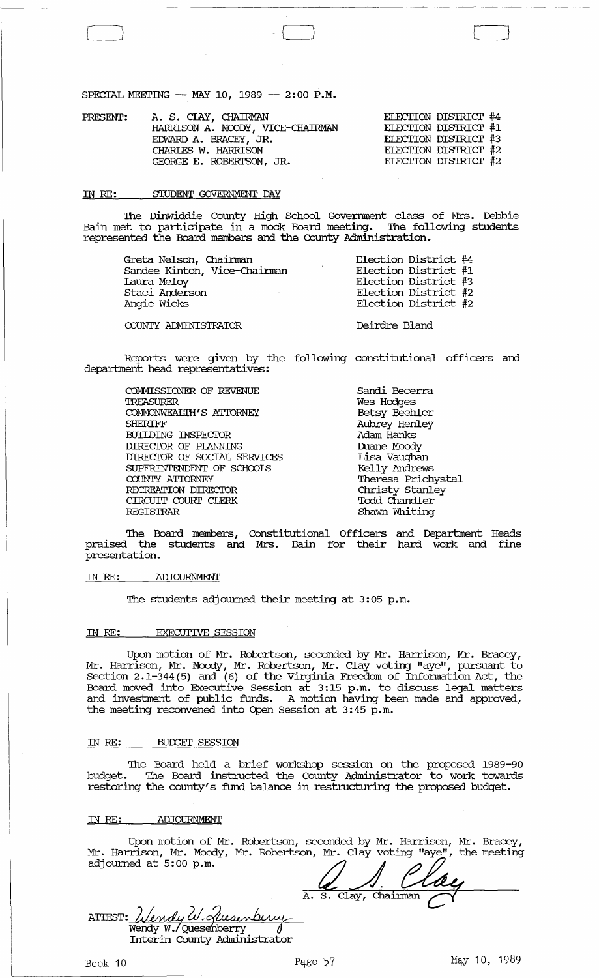SPECIAL MEETING -- MAY 10, 1989 -- 2:00 P.M.

| PRESENT: | A. S. CIAY, CHAIRMAN<br>HARRISON A. MOODY, VICE-CHAIRMAN<br>EDWARD A. BRACEY, JR.<br>CHARLES W. HARRISON<br>GEORGE E. ROBERTSON, JR. | ELECTION DISTRICT #4<br>ELECTION DISTRICT #1<br>ELECTION DISTRICT #3<br>ELECTION DISTRICT #2<br>ELECTION DISTRICT #2 |  |
|----------|--------------------------------------------------------------------------------------------------------------------------------------|----------------------------------------------------------------------------------------------------------------------|--|
|          |                                                                                                                                      |                                                                                                                      |  |

 $\Box$ 

#### IN RE: STUDENT GOVERNMENT DAY

The Dinwiddie County High School Government class of Mrs. Debbie Bain met to participate in a mock Board meeting. The following students represented the Board members and the County Administration.

| Greta Nelson, Chairman       | Election District #4 |
|------------------------------|----------------------|
| Sandee Kinton, Vice-Chairman | Election District #1 |
| Laura Meloy                  | Election District #3 |
| Staci Anderson               | Election District #2 |
| Angie Wicks                  | Election District #2 |
| COUNTY ADMINISTRATOR         | Deirdre Bland        |

Reports were given by the following constitutional officers and department head representatives:

COMMISSIONER OF REVENUE TREASURER COMMONWEALTH'S ATIDRNEY SHERIFF BUILDING INSPECIOR DIRECIOR OF PlANNING DIRECIOR OF SOCIAL SERVICES SUPERINTENDENT OF SCHOOLS COUNTY ATIORNEY RECREATION DIRECIOR CIRCUIT COURI' CLERK REGISTRAR

Sandi Becerra Wes Hodges Betsy Beehler Aubrey Henley Adam Hanks Duane Moody Lisa Vaughan Kelly Andrews Theresa Prichystal Christy Stanley Todd Chandler Shawn Whiting

CJ

The Board members, Constitutional Officers and Department Heads praised the students and Mrs. Bain for their hard work and fine presentation.

#### IN RE: ADJOURNMENT

The students adjourned their meeting at 3:05 p.m.

### IN RE: EXECUTIVE SESSION

Upon motion of Mr. Robertson, seconded by Mr. Harrison, Mr. Bracey, Mr. Harrison, Mr. Moody, Mr. Robertson, Mr. Clay voting "aye", pursuant to Section 2.1-344(5) and (6) of the Virginia Freedom of Information Act, the Boorden Friedrich, and (o) of the virginia frocasm of information noo, and and investment of public funds. A motion having been made and approved, the meeting reconvened into Open Session at 3:45 p.m.

#### IN RE: BUDGET SESSION

The Board held a brief workshop session on the proposed 1989-90 budget. The Board instructed the County Administrator to work towards restoring the county's fund balance in restructuring the proposed budget.

### IN RE: ADJOURNMENT

Upon motion of Mr. Robertson, seconded by Mr. Harrison, Mr. Bracey, Mr. Harrison, Mr. Moody, Mr. Robertson, Mr. Clay voting "aye", the meeting adjourned at 5:00 p.m.

A. S. Clay, Chairman ATTEST: Wendy W. <u>Glusinbury</u> Interim County Administrator